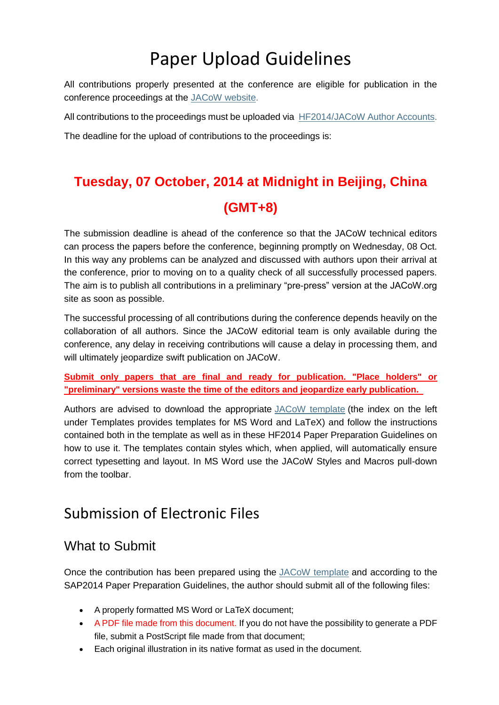# Paper Upload Guidelines

All contributions properly presented at the conference are eligible for publication in the conference proceedings at the [JACoW website.](http://www.jacow.org/)

All contributions to the proceedings must be uploaded via [HF2014/JACoW Author Accounts.](http://spms.kek.jp/pls/hf2014/profile.html)

The deadline for the upload of contributions to the proceedings is:

# **Tuesday, 07 October, 2014 at Midnight in Beijing, China (GMT+8)**

The submission deadline is ahead of the conference so that the JACoW technical editors can process the papers before the conference, beginning promptly on Wednesday, 08 Oct. In this way any problems can be analyzed and discussed with authors upon their arrival at the conference, prior to moving on to a quality check of all successfully processed papers. The aim is to publish all contributions in a preliminary "pre-press" version at the JACoW.org site as soon as possible.

The successful processing of all contributions during the conference depends heavily on the collaboration of all authors. Since the JACoW editorial team is only available during the conference, any delay in receiving contributions will cause a delay in processing them, and will ultimately jeopardize swift publication on JACoW.

**Submit only papers that are final and ready for publication. "Place holders" or "preliminary" versions waste the time of the editors and jeopardize early publication.** 

Authors are advised to download the appropriate [JACoW template](http://jacow.org/index.php?n=Authors.HomePage) (the index on the left under Templates provides templates for MS Word and LaTeX) and follow the instructions contained both in the template as well as in these HF2014 Paper Preparation Guidelines on how to use it. The templates contain styles which, when applied, will automatically ensure correct typesetting and layout. In MS Word use the JACoW Styles and Macros pull-down from the toolbar.

## Submission of Electronic Files

## What to Submit

Once the contribution has been prepared using the [JACoW template](http://jacow.org/index.php?n=Authors.HomePage) and according to the SAP2014 Paper Preparation Guidelines, the author should submit all of the following files:

- A properly formatted MS Word or LaTeX document;
- A PDF file made from this document. If you do not have the possibility to generate a PDF file, submit a PostScript file made from that document;
- Each original illustration in its native format as used in the document.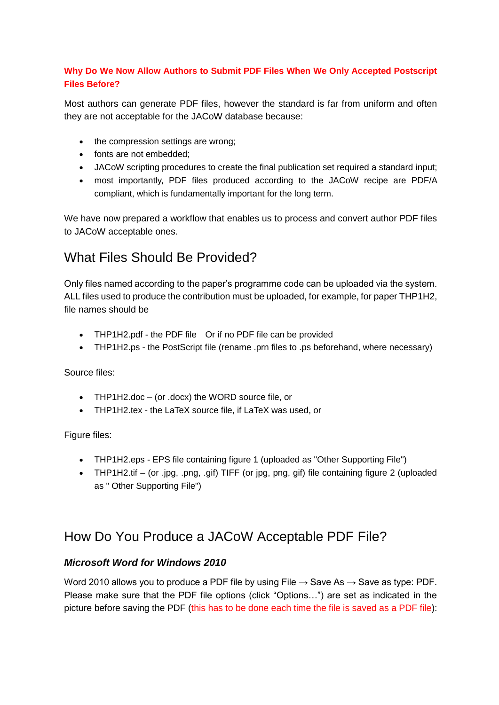#### **Why Do We Now Allow Authors to Submit PDF Files When We Only Accepted Postscript Files Before?**

Most authors can generate PDF files, however the standard is far from uniform and often they are not acceptable for the JACoW database because:

- the compression settings are wrong;
- fonts are not embedded:
- JACoW scripting procedures to create the final publication set required a standard input;
- most importantly, PDF files produced according to the JACoW recipe are PDF/A compliant, which is fundamentally important for the long term.

We have now prepared a workflow that enables us to process and convert author PDF files to JACoW acceptable ones.

## What Files Should Be Provided?

Only files named according to the paper's programme code can be uploaded via the system. ALL files used to produce the contribution must be uploaded, for example, for paper THP1H2, file names should be

- THP1H2.pdf the PDF file Or if no PDF file can be provided
- THP1H2.ps the PostScript file (rename .prn files to .ps beforehand, where necessary)

Source files:

- THP1H2.doc (or .docx) the WORD source file, or
- THP1H2.tex the LaTeX source file, if LaTeX was used, or

Figure files:

- THP1H2.eps EPS file containing figure 1 (uploaded as "Other Supporting File")
- THP1H2.tif (or .jpg, .png, .gif) TIFF (or jpg, png, gif) file containing figure 2 (uploaded as " Other Supporting File")

## How Do You Produce a JACoW Acceptable PDF File?

#### *Microsoft Word for Windows 2010*

Word 2010 allows you to produce a PDF file by using File  $\rightarrow$  Save As  $\rightarrow$  Save as type: PDF. Please make sure that the PDF file options (click "Options…") are set as indicated in the picture before saving the PDF (this has to be done each time the file is saved as a PDF file):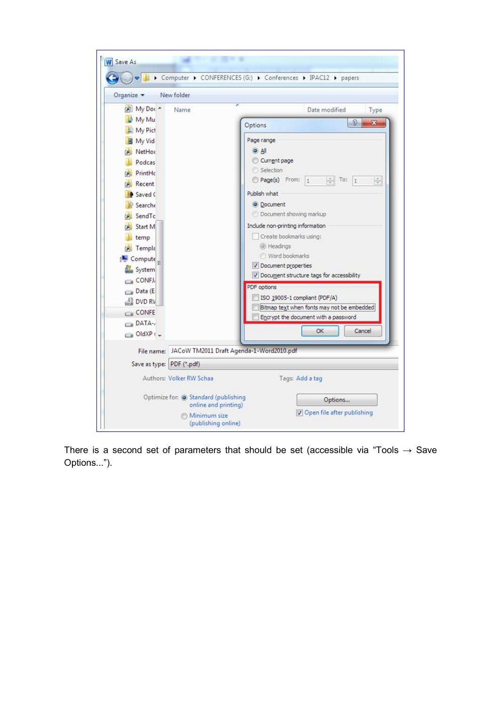| My Doc ~<br>Name                                    | Date modified<br>Type                                                                       |  |  |
|-----------------------------------------------------|---------------------------------------------------------------------------------------------|--|--|
| My Mu                                               | $\mathcal{D}$<br>$\mathbf x$<br>Options                                                     |  |  |
| My Pict                                             |                                                                                             |  |  |
| <b>图 My Vid</b>                                     | Page range                                                                                  |  |  |
| NetHor<br>Podcas                                    | $\Theta$ All<br>Current page                                                                |  |  |
| <b>PrintHc</b>                                      | Selection                                                                                   |  |  |
| Recent                                              | Page(s) From: 1<br>$\frac{\lambda}{\nu}$<br>$\frac{1}{\sqrt{2}}$ To: 1                      |  |  |
| Saved C                                             | Publish what                                                                                |  |  |
| <b>Searche</b>                                      | O Document                                                                                  |  |  |
| SendTc                                              | Document showing markup                                                                     |  |  |
| Start M                                             | Include non-printing information<br>Create bookmarks using:<br>@ Headings<br>Word bookmarks |  |  |
| temp                                                |                                                                                             |  |  |
| Templa                                              |                                                                                             |  |  |
| Compute                                             |                                                                                             |  |  |
| System                                              | Document properties                                                                         |  |  |
| CONFJ,                                              | Document structure tags for accessibility                                                   |  |  |
| Data (E                                             | PDF options                                                                                 |  |  |
| DVD RV                                              | ISO 19005-1 compliant (PDF/A)<br>Bitmap text when fonts may not be embedded                 |  |  |
| CONFE                                               | Encrypt the document with a password                                                        |  |  |
| DATA-                                               | Cancel<br>OK.                                                                               |  |  |
| OldXP <sub>1</sub>                                  |                                                                                             |  |  |
| File name: JACoW TM2011 Draft Agenda-1-Word2010.pdf |                                                                                             |  |  |
| Save as type: PDF (*.pdf)                           |                                                                                             |  |  |
|                                                     |                                                                                             |  |  |

There is a second set of parameters that should be set (accessible via "Tools  $\rightarrow$  Save Options...").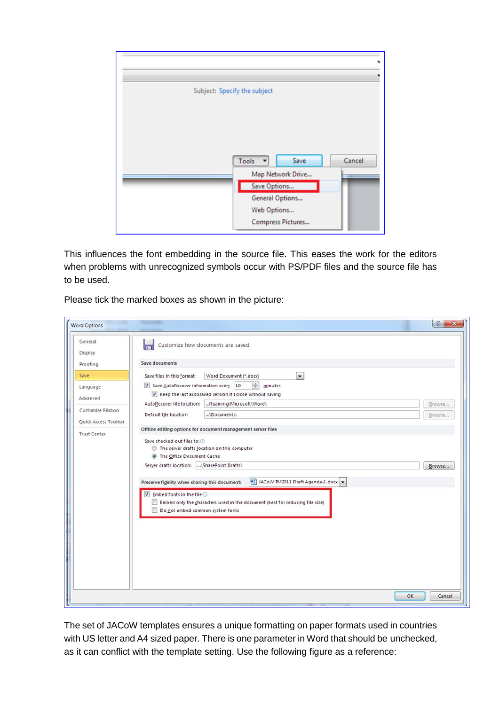

This influences the font embedding in the source file. This eases the work for the editors when problems with unrecognized symbols occur with PS/PDF files and the source file has to be used.

Please tick the marked boxes as shown in the picture:

| <b>Word Options</b>  |                                                                                                                                                                     | $\theta$<br>$\mathbf{x}$ |
|----------------------|---------------------------------------------------------------------------------------------------------------------------------------------------------------------|--------------------------|
| General<br>Display   | Customize how documents are saved.                                                                                                                                  |                          |
| Proofing             | Save documents                                                                                                                                                      |                          |
| Save                 | Word Document (*.docx)<br>$\cdot$<br>Save files in this format:                                                                                                     |                          |
| Language<br>Advanced | $\Rightarrow$<br>Save AutoRecover information every 10<br>minutes<br>$\triangledown$ Keep the last autosaved version if I close without saving                      |                          |
| Customize Ribbon     | Roaming\Microsoft\Word\<br>AutoRecover file location:                                                                                                               | Browse                   |
| Quick Access Toolbar | Default file location:<br>\Documents\                                                                                                                               | Browse                   |
| <b>Trust Center</b>  | Save checked-out files to: (i)<br>The server drafts location on this computer<br>O The Office Document Cache<br>Server drafts location: \SharePoint Drafts\         | Browse                   |
|                      | JACoW TM2011 Draft Agenda-1.docx -<br>Preserve fidelity when sharing this document:                                                                                 |                          |
|                      | $\triangledown$ Embed fonts in the file $\odot$<br>Embed only the characters used in the document (best for reducing file size)<br>Do not embed common system fonts |                          |
|                      |                                                                                                                                                                     | OK<br>Cancel             |

The set of JACoW templates ensures a unique formatting on paper formats used in countries with US letter and A4 sized paper. There is one parameter in Word that should be unchecked, as it can conflict with the template setting. Use the following figure as a reference: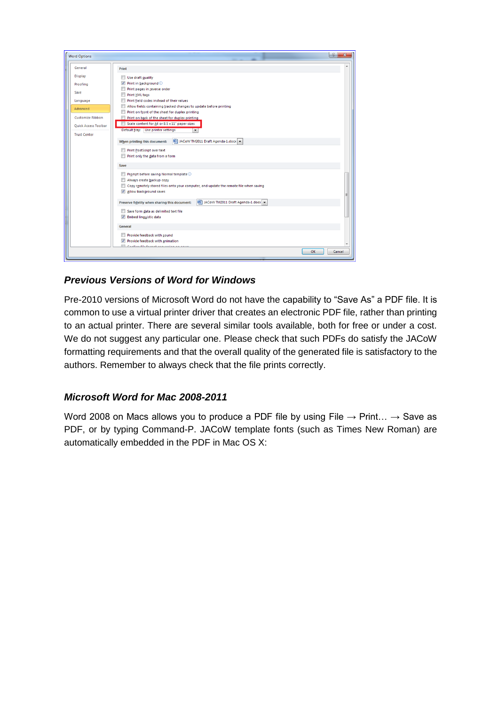

### *Previous Versions of Word for Windows*

Pre-2010 versions of Microsoft Word do not have the capability to "Save As" a PDF file. It is common to use a virtual printer driver that creates an electronic PDF file, rather than printing to an actual printer. There are several similar tools available, both for free or under a cost. We do not suggest any particular one. Please check that such PDFs do satisfy the JACoW formatting requirements and that the overall quality of the generated file is satisfactory to the authors. Remember to always check that the file prints correctly.

#### *Microsoft Word for Mac 2008-2011*

Word 2008 on Macs allows you to produce a PDF file by using File  $\rightarrow$  Print...  $\rightarrow$  Save as PDF, or by typing Command-P. JACoW template fonts (such as Times New Roman) are automatically embedded in the PDF in Mac OS X: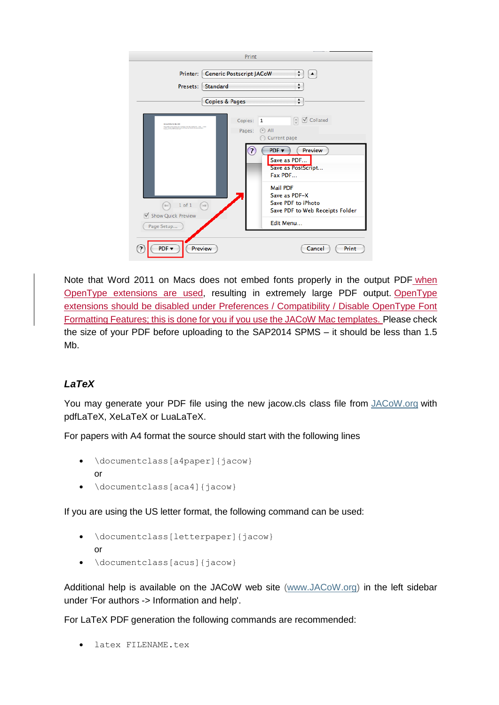

Note that Word 2011 on Macs does not embed fonts properly in the output PDF when OpenType extensions are used, resulting in extremely large PDF output. OpenType extensions should be disabled under Preferences / Compatibility / Disable OpenType Font Formatting Features; this is done for you if you use the JACoW Mac templates. Please check the size of your PDF before uploading to the SAP2014 SPMS – it should be less than 1.5 Mb.

### *LaTeX*

You may generate your PDF file using the new jacow.cls class file from [JACoW.org](http://jacow.org/) with pdfLaTeX, XeLaTeX or LuaLaTeX.

For papers with A4 format the source should start with the following lines

- \documentclass[a4paper]{jacow} or
- \documentclass[aca4]{jacow}

If you are using the US letter format, the following command can be used:

- \documentclass[letterpaper]{jacow} or
- \documentclass[acus]{jacow}

Additional help is available on the JACoW web site [\(www.JACoW.org\)](http://www.jacow.org/) in the left sidebar under 'For authors -> Information and help'.

For LaTeX PDF generation the following commands are recommended:

latex FILENAME.tex